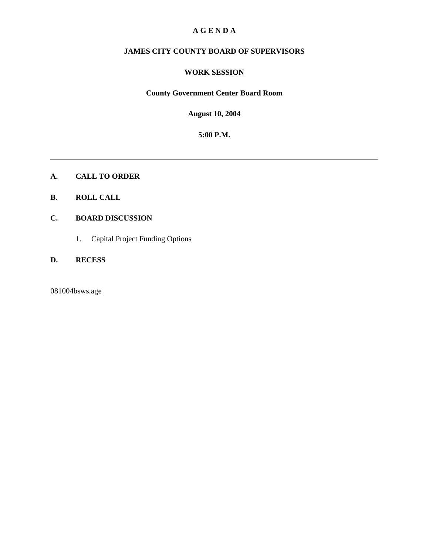### **A G E N D A**

# **JAMES CITY COUNTY BOARD OF SUPERVISORS**

#### **WORK SESSION**

### **County Government Center Board Room**

**August 10, 2004**

**5:00 P.M.**

**A. CALL TO ORDER**

### **B. ROLL CALL**

## **C. BOARD DISCUSSION**

1. Capital Project Funding Options

## **D. RECESS**

081004bsws.age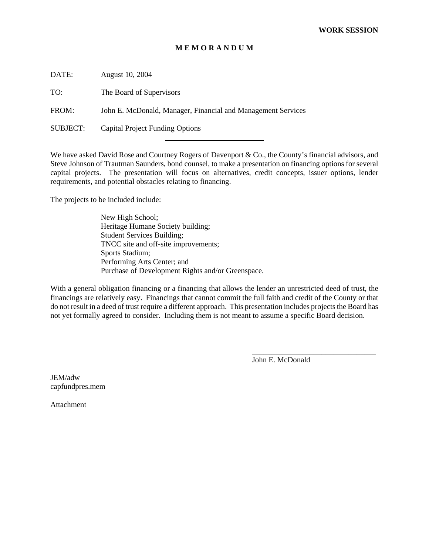#### **M E M O R A N D U M**

DATE: August 10, 2004

TO: The Board of Supervisors

FROM: John E. McDonald, Manager, Financial and Management Services

l

SUBJECT: Capital Project Funding Options

We have asked David Rose and Courtney Rogers of Davenport & Co., the County's financial advisors, and Steve Johnson of Trautman Saunders, bond counsel, to make a presentation on financing options for several capital projects. The presentation will focus on alternatives, credit concepts, issuer options, lender requirements, and potential obstacles relating to financing.

The projects to be included include:

New High School; Heritage Humane Society building; Student Services Building; TNCC site and off-site improvements; Sports Stadium; Performing Arts Center; and Purchase of Development Rights and/or Greenspace.

With a general obligation financing or a financing that allows the lender an unrestricted deed of trust, the financings are relatively easy. Financings that cannot commit the full faith and credit of the County or that do not result in a deed of trust require a different approach. This presentation includes projects the Board has not yet formally agreed to consider. Including them is not meant to assume a specific Board decision.

John E. McDonald

\_\_\_\_\_\_\_\_\_\_\_\_\_\_\_\_\_\_\_\_\_\_\_\_\_\_\_\_\_\_\_\_

JEM/adw capfundpres.mem

Attachment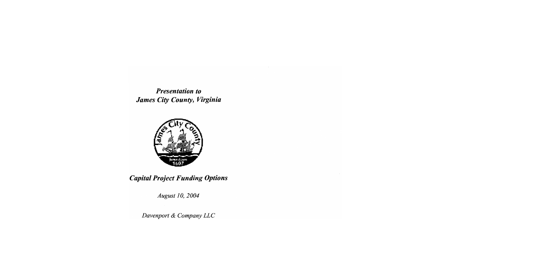**Presentation to** James City County, Virginia



**Capital Project Funding Options** 

August 10, 2004

Davenport & Company LLC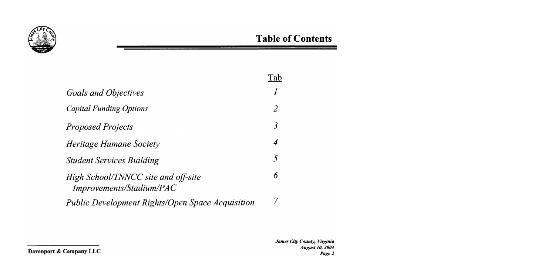

|                                                                        | i ab             |
|------------------------------------------------------------------------|------------------|
| Goals and Objectives                                                   |                  |
| <b>Capital Funding Options</b>                                         | $\mathcal{Z}$    |
| <b>Proposed Projects</b>                                               | 3                |
| Heritage Humane Society                                                | $\boldsymbol{4}$ |
| <b>Student Services Building</b>                                       | $\mathcal{F}$    |
| High School/TNNCC site and off-site<br><i>Improvements/Stadium/PAC</i> | 6                |
| <b>Public Development Rights/Open Space Acquisition</b>                |                  |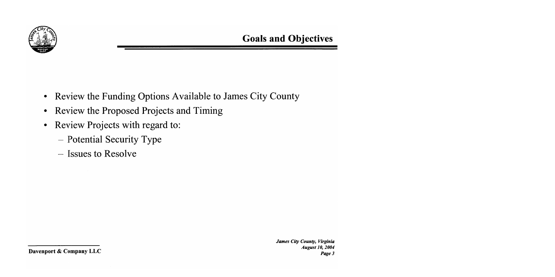

- Review the Funding Options Available to James City County  $\bullet$
- Review the Proposed Projects and Timing  $\bullet$
- Review Projects with regard to:  $\bullet$ 
	- Potential Security Type
	- Issues to Resolve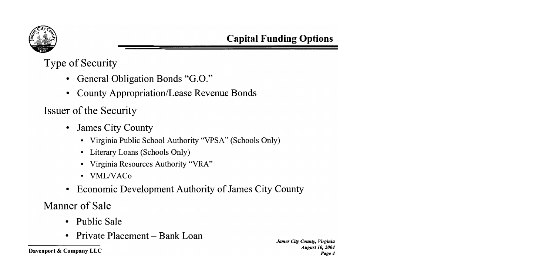

**Type of Security** 

- General Obligation Bonds "G.O."
- **County Appropriation/Lease Revenue Bonds**

**Issuer of the Security** 

- **James City County**  $\bullet$ 
	- Virginia Public School Authority "VPSA" (Schools Only)
	- Literary Loans (Schools Only)  $\bullet$
	- Virginia Resources Authority "VRA"  $\bullet$
	- VML/VACo
- Economic Development Authority of James City County

Manner of Sale

- **Public Sale**  $\bullet$
- Private Placement Bank Loan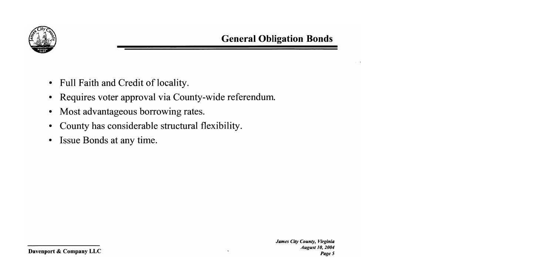

- Full Faith and Credit of locality.  $\bullet$
- Requires voter approval via County-wide referendum.  $\bullet$
- Most advantageous borrowing rates.  $\bullet$
- County has considerable structural flexibility.  $\bullet$
- Issue Bonds at any time.  $\bullet$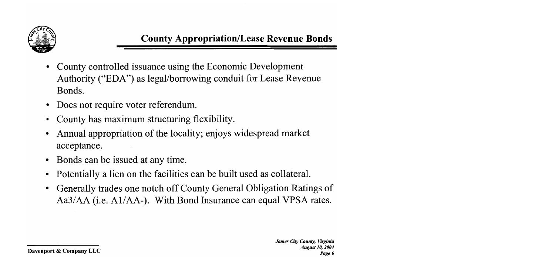

- County controlled issuance using the Economic Development Authority ("EDA") as legal/borrowing conduit for Lease Revenue Bonds.
- Does not require voter referendum.  $\bullet$
- County has maximum structuring flexibility.
- Annual appropriation of the locality; enjoys widespread market acceptance.
- Bonds can be issued at any time.
- Potentially a lien on the facilities can be built used as collateral.
- Generally trades one notch off County General Obligation Ratings of Aa3/AA (i.e. A1/AA-). With Bond Insurance can equal VPSA rates.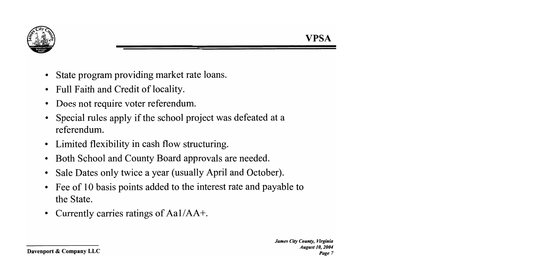

- State program providing market rate loans.
- Full Faith and Credit of locality.  $\bullet$
- Does not require voter referendum.
- Special rules apply if the school project was defeated at a referendum.
- Limited flexibility in cash flow structuring.
- Both School and County Board approvals are needed.  $\bullet$
- Sale Dates only twice a year (usually April and October).  $\bullet$
- Fee of 10 basis points added to the interest rate and payable to  $\bullet$ the State.
- Currently carries ratings of  $Aa1/AA+$ .  $\bullet$

VPSA

Davenport & Company LLC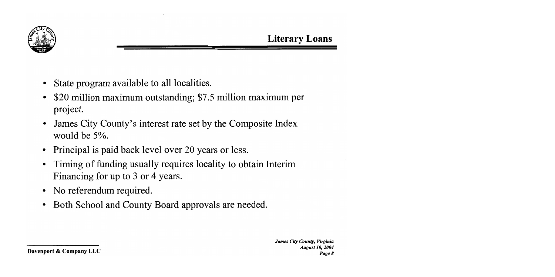

- State program available to all localities.
- \$20 million maximum outstanding; \$7.5 million maximum per project.
- James City County's interest rate set by the Composite Index would be 5%.
- Principal is paid back level over 20 years or less.
- Timing of funding usually requires locality to obtain Interim Financing for up to 3 or 4 years.
- No referendum required.
- Both School and County Board approvals are needed.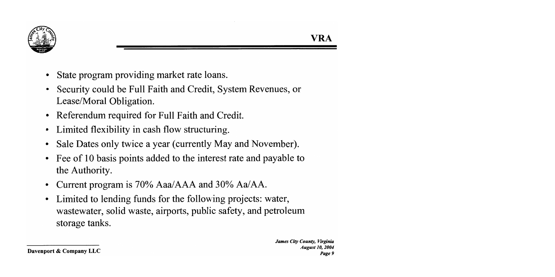

- State program providing market rate loans.
- Security could be Full Faith and Credit, System Revenues, or Lease/Moral Obligation.
- Referendum required for Full Faith and Credit.
- Limited flexibility in cash flow structuring.
- Sale Dates only twice a year (currently May and November).
- Fee of 10 basis points added to the interest rate and payable to the Authority.
- Current program is 70% Aaa/AAA and 30% Aa/AA.
- Limited to lending funds for the following projects: water,  $\bullet$ wastewater, solid waste, airports, public safety, and petroleum storage tanks.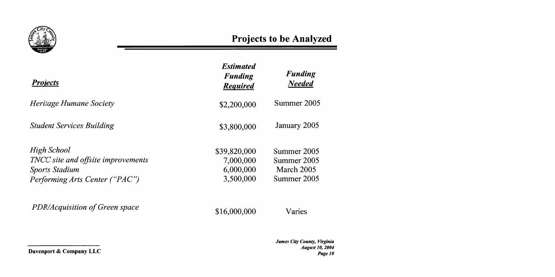

| <b>Projects</b>                    | <b>Estimated</b><br><b>Funding</b><br><b>Required</b> | <b>Funding</b><br><b>Needed</b> |
|------------------------------------|-------------------------------------------------------|---------------------------------|
| <i>Heritage Humane Society</i>     | \$2,200,000                                           | Summer 2005                     |
| <b>Student Services Building</b>   | \$3,800,000                                           | January 2005                    |
| High School                        | \$39,820,000                                          | Summer 2005                     |
| TNCC site and offsite improvements | 7,000,000                                             | Summer 2005                     |
| <b>Sports Stadium</b>              | 6,000,000                                             | March 2005                      |
| Performing Arts Center ("PAC")     | 3,500,000                                             | Summer 2005                     |
| PDR/Acquisition of Green space     | \$16,000,000                                          | Varies                          |
|                                    |                                                       | Iamas Che Canade IB-            |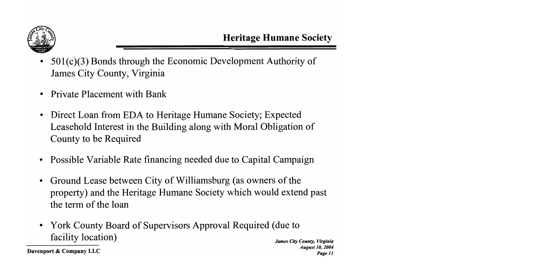

- $501(c)(3)$  Bonds through the Economic Development Authority of James City County, Virginia
- **Private Placement with Bank**  $\bullet$
- Direct Loan from EDA to Heritage Humane Society; Expected  $\bullet$ Leasehold Interest in the Building along with Moral Obligation of County to be Required
- Possible Variable Rate financing needed due to Capital Campaign
- Ground Lease between City of Williamsburg (as owners of the  $\bullet$ property) and the Heritage Humane Society which would extend past the term of the loan
- York County Board of Supervisors Approval Required (due to facility location)

Davenport & Company LLC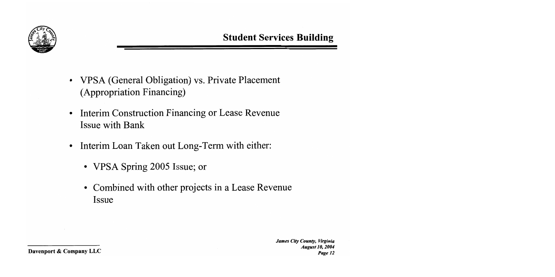

- VPSA (General Obligation) vs. Private Placement (Appropriation Financing)
- Interim Construction Financing or Lease Revenue  $\bullet$ **Issue with Bank**
- Interim Loan Taken out Long-Term with either:  $\bullet$ 
	- VPSA Spring 2005 Issue; or
	- Combined with other projects in a Lease Revenue Issue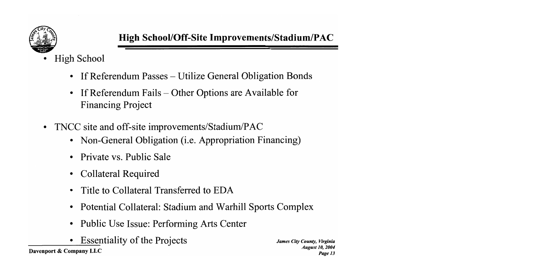

- **High School** 
	- If Referendum Passes Utilize General Obligation Bonds  $\bullet$
	- If Referendum Fails  $-$  Other Options are Available for  $\bullet$ **Financing Project**
- TNCC site and off-site improvements/Stadium/PAC
	- Non-General Obligation (i.e. Appropriation Financing)
	- Private vs. Public Sale  $\bullet$
	- **Collateral Required**
	- Title to Collateral Transferred to EDA
	- Potential Collateral: Stadium and Warhill Sports Complex
	- **Public Use Issue: Performing Arts Center**  $\bullet$
	- **Essentiality of the Projects**